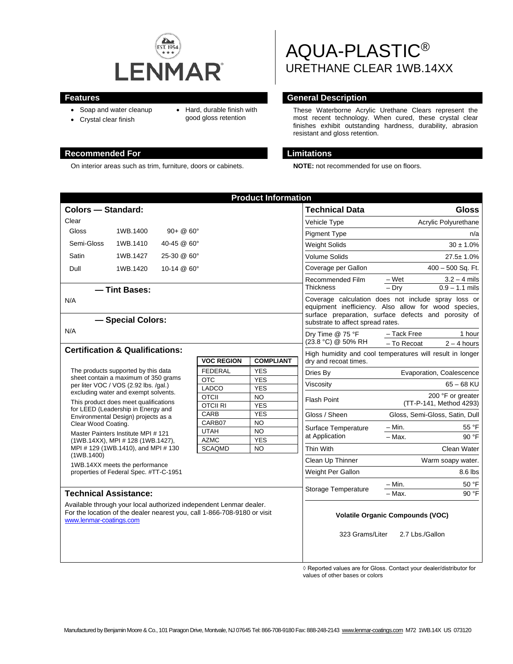

- Soap and water cleanup
- Hard, durable finish with
- Crystal clear finish
- good gloss retention

### **Recommended For Limitations**

On interior areas such as trim, furniture, doors or cabinets. **NOTE:** not recommended for use on floors.

# AQUA-PLASTIC® URETHANE CLEAR 1WB.14XX

# **Features General Description**

These Waterborne Acrylic Urethane Clears represent the most recent technology. When cured, these crystal clear finishes exhibit outstanding hardness, durability, abrasion resistant and gloss retention.

| <b>Product Information</b>                                                                                                                                                                                                                                                         |                                   |                     |                          |                                                                                                                                                                                                          |                                |
|------------------------------------------------------------------------------------------------------------------------------------------------------------------------------------------------------------------------------------------------------------------------------------|-----------------------------------|---------------------|--------------------------|----------------------------------------------------------------------------------------------------------------------------------------------------------------------------------------------------------|--------------------------------|
| <b>Colors - Standard:</b>                                                                                                                                                                                                                                                          |                                   |                     |                          | <b>Technical Data</b>                                                                                                                                                                                    | <b>Gloss</b>                   |
| Clear                                                                                                                                                                                                                                                                              |                                   |                     |                          | Vehicle Type                                                                                                                                                                                             | Acrylic Polyurethane           |
| <b>Gloss</b>                                                                                                                                                                                                                                                                       | $90 + @ 60^{\circ}$<br>1WB.1400   |                     |                          | <b>Pigment Type</b>                                                                                                                                                                                      | n/a                            |
| Semi-Gloss<br>1WB.1410<br>40-45 @ 60°                                                                                                                                                                                                                                              |                                   |                     | <b>Weight Solids</b>     | $30 \pm 1.0\%$                                                                                                                                                                                           |                                |
| Satin                                                                                                                                                                                                                                                                              | 1WB.1427<br>25-30 @ 60°           |                     |                          | <b>Volume Solids</b>                                                                                                                                                                                     | $27.5 \pm 1.0\%$               |
| Dull<br>10-14 @ 60°<br>1WB.1420                                                                                                                                                                                                                                                    |                                   |                     | Coverage per Gallon      | 400 - 500 Sq. Ft.                                                                                                                                                                                        |                                |
|                                                                                                                                                                                                                                                                                    |                                   |                     |                          | Recommended Film                                                                                                                                                                                         | – Wet<br>$3.2 - 4$ mils        |
| - Tint Bases:                                                                                                                                                                                                                                                                      |                                   |                     |                          | <b>Thickness</b>                                                                                                                                                                                         | $-$ Drv<br>$0.9 - 1.1$ mils    |
| N/A<br>- Special Colors:                                                                                                                                                                                                                                                           |                                   |                     |                          | Coverage calculation does not include spray loss or<br>equipment inefficiency. Also allow for wood species,<br>surface preparation, surface defects and porosity of<br>substrate to affect spread rates. |                                |
| N/A                                                                                                                                                                                                                                                                                |                                   |                     |                          | Dry Time @ 75 °F<br>(23.8 °C) @ 50% RH                                                                                                                                                                   | - Tack Free<br>1 hour          |
|                                                                                                                                                                                                                                                                                    |                                   |                     |                          |                                                                                                                                                                                                          | - To Recoat<br>$2 - 4$ hours   |
| <b>Certification &amp; Qualifications:</b><br><b>VOC REGION</b><br><b>COMPLIANT</b>                                                                                                                                                                                                |                                   |                     |                          | High humidity and cool temperatures will result in longer<br>dry and recoat times.                                                                                                                       |                                |
| The products supported by this data<br>sheet contain a maximum of 350 grams<br>per liter VOC / VOS (2.92 lbs. /qal.)<br>excluding water and exempt solvents.<br>This product does meet qualifications<br>for LEED (Leadership in Energy and<br>Environmental Design) projects as a |                                   | <b>FEDERAL</b>      | <b>YES</b>               | Dries By                                                                                                                                                                                                 | Evaporation, Coalescence       |
|                                                                                                                                                                                                                                                                                    |                                   | <b>OTC</b><br>LADCO | <b>YES</b><br><b>YES</b> | Viscosity<br><b>Flash Point</b>                                                                                                                                                                          | $65 - 68$ KU                   |
|                                                                                                                                                                                                                                                                                    |                                   | <b>OTCII</b>        | <b>NO</b>                |                                                                                                                                                                                                          | 200 °F or greater              |
|                                                                                                                                                                                                                                                                                    |                                   | <b>OTCII RI</b>     | <b>YES</b>               |                                                                                                                                                                                                          | (TT-P-141, Method 4293)        |
|                                                                                                                                                                                                                                                                                    |                                   | CARB<br>CARB07      | <b>YES</b><br><b>NO</b>  | Gloss / Sheen                                                                                                                                                                                            | Gloss, Semi-Gloss, Satin, Dull |
| Clear Wood Coating.<br>Master Painters Institute MPI # 121                                                                                                                                                                                                                         |                                   | <b>UTAH</b>         | $\overline{NO}$          | Surface Temperature                                                                                                                                                                                      | – Min.<br>55 °F                |
|                                                                                                                                                                                                                                                                                    | (1WB.14XX), MPI # 128 (1WB.1427), | <b>AZMC</b>         | <b>YES</b>               | at Application                                                                                                                                                                                           | 90 °F<br>$-$ Max.              |
| MPI #129 (1WB.1410), and MPI #130<br><b>SCAQMD</b><br><b>NO</b>                                                                                                                                                                                                                    |                                   |                     |                          | Thin With                                                                                                                                                                                                | <b>Clean Water</b>             |
| (1WB.1400)<br>1WB.14XX meets the performance<br>properties of Federal Spec. #TT-C-1951                                                                                                                                                                                             |                                   |                     |                          | Clean Up Thinner                                                                                                                                                                                         | Warm soapy water.              |
|                                                                                                                                                                                                                                                                                    |                                   |                     |                          | Weight Per Gallon                                                                                                                                                                                        | 8.6 lbs                        |
|                                                                                                                                                                                                                                                                                    |                                   |                     |                          | Storage Temperature                                                                                                                                                                                      | 50 °F<br>– Min.                |
| <b>Technical Assistance:</b>                                                                                                                                                                                                                                                       |                                   |                     |                          |                                                                                                                                                                                                          | 90 °F<br>- Max.                |
| Available through your local authorized independent Lenmar dealer.<br>For the location of the dealer nearest you, call 1-866-708-9180 or visit<br>www.lenmar-coatings.com                                                                                                          |                                   |                     |                          | <b>Volatile Organic Compounds (VOC)</b>                                                                                                                                                                  |                                |
|                                                                                                                                                                                                                                                                                    |                                   |                     |                          | 323 Grams/Liter                                                                                                                                                                                          | 2.7 Lbs./Gallon                |

◊ Reported values are for Gloss. Contact your dealer/distributor for values of other bases or colors